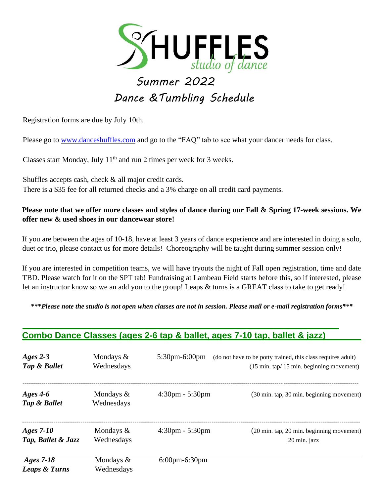

# *Summer 2022 Dance &Tumbling Schedule*

Registration forms are due by July 10th.

Please go to www.danceshuffles.com and go to the "FAQ" tab to see what your dancer needs for class.

Classes start Monday, July  $11<sup>th</sup>$  and run 2 times per week for 3 weeks.

Shuffles accepts cash, check & all major credit cards. There is a \$35 fee for all returned checks and a 3% charge on all credit card payments.

#### **Please note that we offer more classes and styles of dance during our Fall & Spring 17-week sessions. We offer new & used shoes in our dancewear store!**

If you are between the ages of 10-18, have at least 3 years of dance experience and are interested in doing a solo, duet or trio, please contact us for more details! Choreography will be taught during summer session only!

If you are interested in competition teams, we will have tryouts the night of Fall open registration, time and date TBD. Please watch for it on the SPT tab! Fundraising at Lambeau Field starts before this, so if interested, please let an instructor know so we an add you to the group! Leaps & turns is a GREAT class to take to get ready!

**\*\*\****Please note the studio is not open when classes are not in session. Please mail or e-mail registration forms\*\*\**

#### **Combo Dance Classes (ages 2-6 tap & ballet, ages 7-10 tap, ballet & jazz)**

| Ages $2-3$                            | Mondays $\&$               | $5:30$ pm $-6:00$ pm              | (do not have to be potty trained, this class requires adult) |
|---------------------------------------|----------------------------|-----------------------------------|--------------------------------------------------------------|
| Tap & Ballet                          | Wednesdays                 |                                   | $(15 \text{ min. tap}/15 \text{ min. beginning movement})$   |
| Ages $4-6$<br>Tap & Ballet            | Mondays $\&$<br>Wednesdays | $4:30 \text{pm} - 5:30 \text{pm}$ | (30 min. tap, 30 min. beginning movement)                    |
| Ages $7-10$                           | Mondays $\&$               | $4:30 \text{pm} - 5:30 \text{pm}$ | (20 min. tap, 20 min. beginning movement)                    |
| Tap, Ballet & Jazz                    | Wednesdays                 |                                   | 20 min. jazz                                                 |
| Ages 7-18<br><b>Leaps &amp; Turns</b> | Mondays $\&$<br>Wednesdays | $6:00$ pm $-6:30$ pm              |                                                              |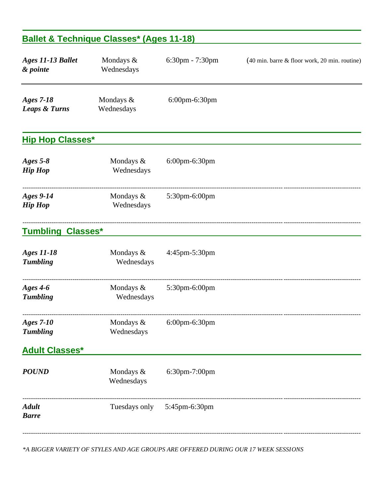### **Ballet & Technique Classes\* (Ages 11-18)**

| Ages 11-13 Ballet<br>& pointe         | Mondays &<br>Wednesdays    | 6:30pm - 7:30pm | (40 min. barre & floor work, 20 min. routine) |
|---------------------------------------|----------------------------|-----------------|-----------------------------------------------|
| Ages 7-18<br><b>Leaps &amp; Turns</b> | Mondays &<br>Wednesdays    | 6:00pm-6:30pm   |                                               |
| <b>Hip Hop Classes*</b>               |                            |                 |                                               |
| Ages $5-8$<br><b>Hip Hop</b>          | Mondays &<br>Wednesdays    | 6:00pm-6:30pm   |                                               |
| <b>Ages 9-14</b><br><b>Hip Hop</b>    | Mondays $\&$<br>Wednesdays | 5:30pm-6:00pm   |                                               |
| <b>Tumbling Classes*</b>              |                            |                 |                                               |
| <b>Ages 11-18</b><br><b>Tumbling</b>  | Mondays &<br>Wednesdays    | 4:45pm-5:30pm   |                                               |
| Ages $4-6$<br><b>Tumbling</b>         | Mondays &<br>Wednesdays    | 5:30pm-6:00pm   |                                               |
| <b>Ages 7-10</b><br><b>Tumbling</b>   | Mondays &<br>Wednesdays    | 6:00pm-6:30pm   |                                               |
| <b>Adult Classes*</b>                 |                            |                 |                                               |
| <b>POUND</b>                          | Mondays &<br>Wednesdays    | 6:30pm-7:00pm   |                                               |
| <b>Adult</b><br><b>Barre</b>          | Tuesdays only              | 5:45pm-6:30pm   |                                               |
|                                       |                            |                 |                                               |

*\*A BIGGER VARIETY OF STYLES AND AGE GROUPS ARE OFFERED DURING OUR 17 WEEK SESSIONS*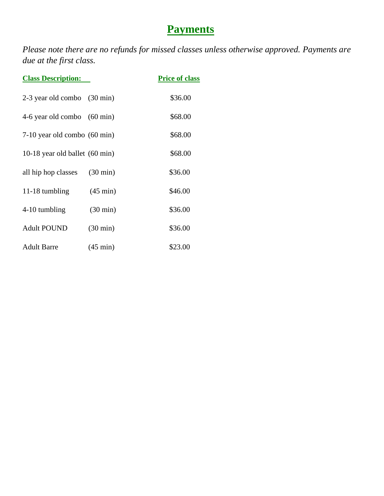## **Payments**

*Please note there are no refunds for missed classes unless otherwise approved. Payments are due at the first class.*

| <b>Class Description:</b>                | <b>Price of class</b> |         |
|------------------------------------------|-----------------------|---------|
| $2-3$ year old combo $(30 \text{ min})$  |                       | \$36.00 |
| 4-6 year old combo $(60 \text{ min})$    |                       | \$68.00 |
| $7-10$ year old combo $(60 \text{ min})$ |                       | \$68.00 |
| 10-18 year old ballet (60 min)           |                       | \$68.00 |
| all hip hop classes                      | $(30 \text{ min})$    | \$36.00 |
| 11-18 tumbling                           | $(45 \text{ min})$    | \$46.00 |
| 4-10 tumbling                            | $(30 \text{ min})$    | \$36.00 |
| <b>Adult POUND</b>                       | $(30 \text{ min})$    | \$36.00 |
| <b>Adult Barre</b>                       | $(45 \text{ min})$    | \$23.00 |